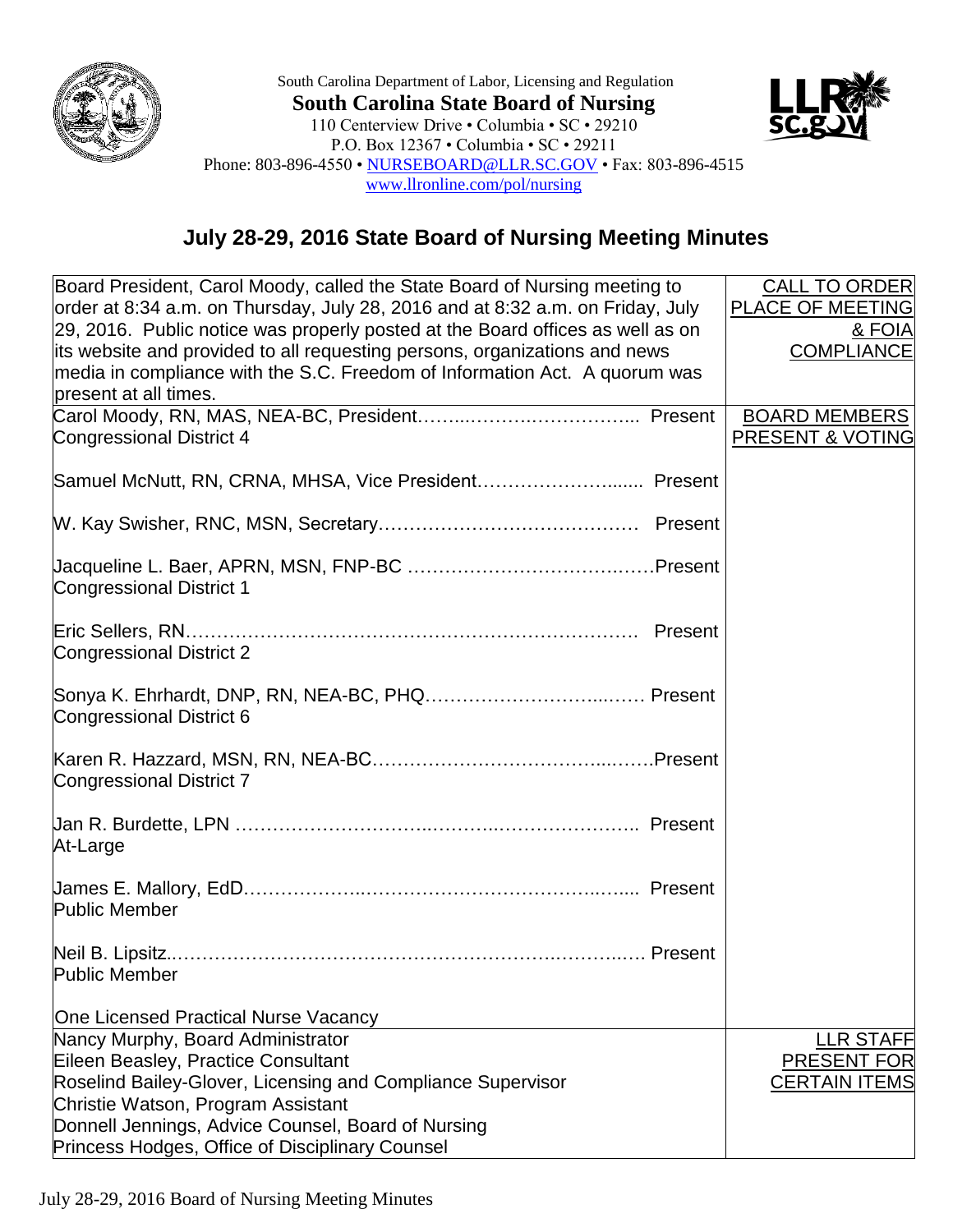

South Carolina Department of Labor, Licensing and Regulation **South Carolina State Board of Nursing** 110 Centerview Drive • Columbia • SC • 29210 P.O. Box 12367 • Columbia • SC • 29211 Phone: 803-896-4550 • [NURSEBOARD@LLR.SC.GOV](mailto:NURSEBOARD@LLR.SC.GOV) • Fax: 803-896-4515 [www.llronline.com/pol/nursing](http://www.llronline.com/pol/nursing)



## **July 28-29, 2016 State Board of Nursing Meeting Minutes**

| Board President, Carol Moody, called the State Board of Nursing meeting to     | <b>CALL TO ORDER</b>    |
|--------------------------------------------------------------------------------|-------------------------|
| order at 8:34 a.m. on Thursday, July 28, 2016 and at 8:32 a.m. on Friday, July | <b>PLACE OF MEETING</b> |
| 29, 2016. Public notice was properly posted at the Board offices as well as on | & FOIA                  |
| its website and provided to all requesting persons, organizations and news     | <b>COMPLIANCE</b>       |
| media in compliance with the S.C. Freedom of Information Act. A quorum was     |                         |
| present at all times.                                                          |                         |
|                                                                                | <b>BOARD MEMBERS</b>    |
| <b>Congressional District 4</b>                                                | PRESENT & VOTING        |
|                                                                                |                         |
|                                                                                |                         |
|                                                                                |                         |
|                                                                                |                         |
| <b>Congressional District 1</b>                                                |                         |
|                                                                                |                         |
| <b>Congressional District 2</b>                                                |                         |
|                                                                                |                         |
| Congressional District 6                                                       |                         |
|                                                                                |                         |
|                                                                                |                         |
| <b>Congressional District 7</b>                                                |                         |
|                                                                                |                         |
|                                                                                |                         |
| At-Large                                                                       |                         |
|                                                                                |                         |
| <b>Public Member</b>                                                           |                         |
|                                                                                |                         |
|                                                                                |                         |
| <b>Public Member Example 2008</b>                                              |                         |
|                                                                                |                         |
| <b>One Licensed Practical Nurse Vacancy</b>                                    |                         |
| Nancy Murphy, Board Administrator                                              | <b>LLR STAFF</b>        |
| Eileen Beasley, Practice Consultant                                            | <b>PRESENT FOR</b>      |
| Roselind Bailey-Glover, Licensing and Compliance Supervisor                    | <b>CERTAIN ITEMS</b>    |
| Christie Watson, Program Assistant                                             |                         |
| Donnell Jennings, Advice Counsel, Board of Nursing                             |                         |
| Princess Hodges, Office of Disciplinary Counsel                                |                         |

July 28-29, 2016 Board of Nursing Meeting Minutes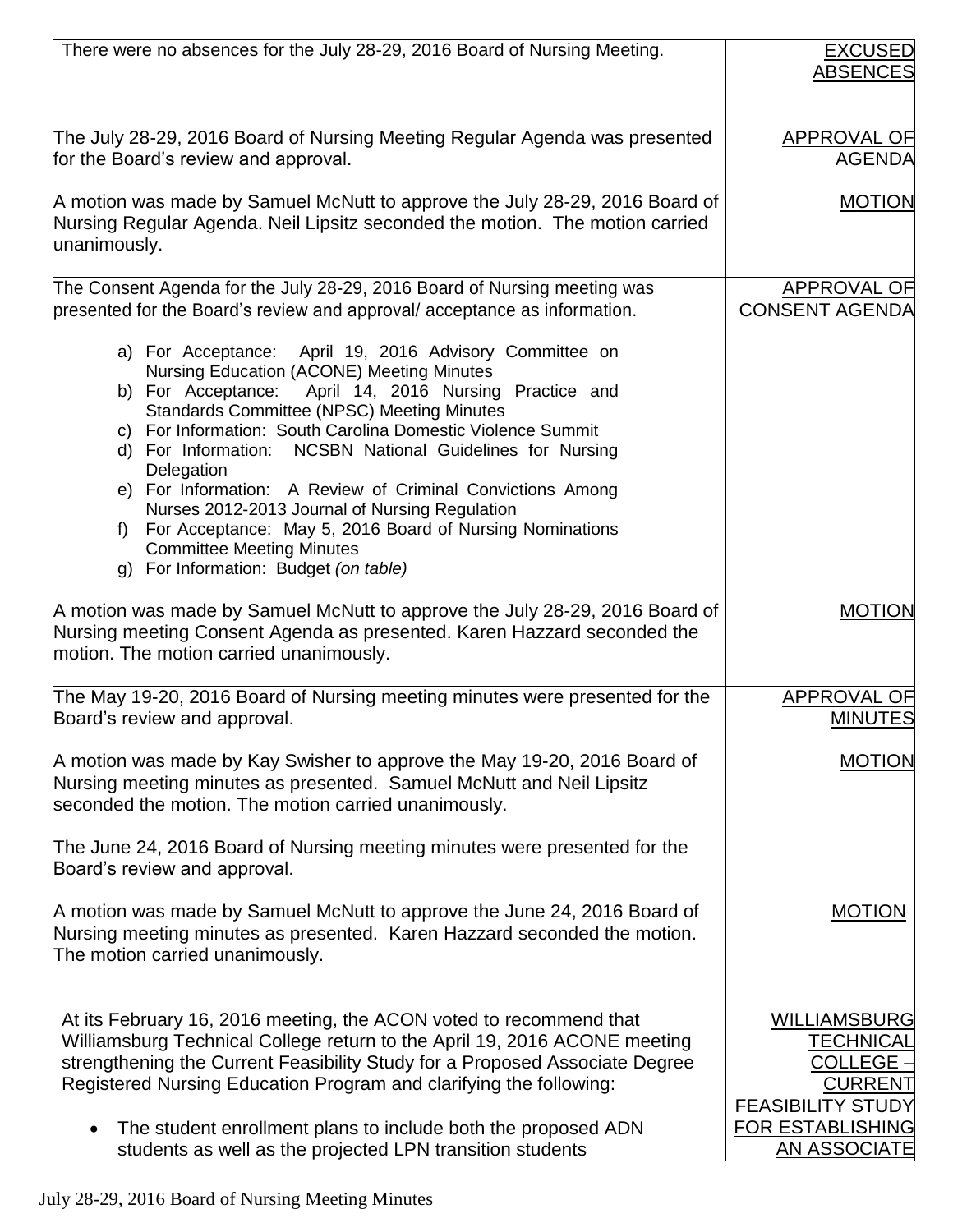| There were no absences for the July 28-29, 2016 Board of Nursing Meeting.                                                                                                                                | <b>EXCUSED</b>                       |
|----------------------------------------------------------------------------------------------------------------------------------------------------------------------------------------------------------|--------------------------------------|
|                                                                                                                                                                                                          | <b>ABSENCES</b>                      |
|                                                                                                                                                                                                          |                                      |
| The July 28-29, 2016 Board of Nursing Meeting Regular Agenda was presented                                                                                                                               | APPROVAL OF                          |
| for the Board's review and approval.                                                                                                                                                                     | <b>AGENDA</b>                        |
|                                                                                                                                                                                                          |                                      |
| A motion was made by Samuel McNutt to approve the July 28-29, 2016 Board of                                                                                                                              | <b>MOTION</b>                        |
| Nursing Regular Agenda. Neil Lipsitz seconded the motion. The motion carried                                                                                                                             |                                      |
| unanimously.                                                                                                                                                                                             |                                      |
| The Consent Agenda for the July 28-29, 2016 Board of Nursing meeting was                                                                                                                                 | <b>APPROVAL OF</b>                   |
| presented for the Board's review and approval/acceptance as information.                                                                                                                                 | <b>CONSENT AGENDA</b>                |
|                                                                                                                                                                                                          |                                      |
| a) For Acceptance: April 19, 2016 Advisory Committee on                                                                                                                                                  |                                      |
| <b>Nursing Education (ACONE) Meeting Minutes</b>                                                                                                                                                         |                                      |
| b) For Acceptance: April 14, 2016 Nursing Practice and<br><b>Standards Committee (NPSC) Meeting Minutes</b>                                                                                              |                                      |
| c) For Information: South Carolina Domestic Violence Summit                                                                                                                                              |                                      |
| d) For Information: NCSBN National Guidelines for Nursing                                                                                                                                                |                                      |
| Delegation                                                                                                                                                                                               |                                      |
| e) For Information: A Review of Criminal Convictions Among<br>Nurses 2012-2013 Journal of Nursing Regulation                                                                                             |                                      |
| f) For Acceptance: May 5, 2016 Board of Nursing Nominations                                                                                                                                              |                                      |
| <b>Committee Meeting Minutes</b>                                                                                                                                                                         |                                      |
| g) For Information: Budget (on table)                                                                                                                                                                    |                                      |
| A motion was made by Samuel McNutt to approve the July 28-29, 2016 Board of<br>Nursing meeting Consent Agenda as presented. Karen Hazzard seconded the<br>motion. The motion carried unanimously.        | <b>MOTION</b>                        |
|                                                                                                                                                                                                          |                                      |
| The May 19-20, 2016 Board of Nursing meeting minutes were presented for the<br>Board's review and approval.                                                                                              | <b>APPROVAL OF</b><br><b>MINUTES</b> |
|                                                                                                                                                                                                          |                                      |
| A motion was made by Kay Swisher to approve the May 19-20, 2016 Board of<br>Nursing meeting minutes as presented. Samuel McNutt and Neil Lipsitz<br>seconded the motion. The motion carried unanimously. | MOTION                               |
|                                                                                                                                                                                                          |                                      |
| The June 24, 2016 Board of Nursing meeting minutes were presented for the<br>Board's review and approval.                                                                                                |                                      |
| A motion was made by Samuel McNutt to approve the June 24, 2016 Board of                                                                                                                                 | <b>MOTION</b>                        |
| Nursing meeting minutes as presented. Karen Hazzard seconded the motion.                                                                                                                                 |                                      |
| The motion carried unanimously.                                                                                                                                                                          |                                      |
|                                                                                                                                                                                                          |                                      |
| At its February 16, 2016 meeting, the ACON voted to recommend that                                                                                                                                       | <b>WILLIAMSBURG</b>                  |
| Williamsburg Technical College return to the April 19, 2016 ACONE meeting                                                                                                                                | <b>TECHNICAL</b>                     |
| strengthening the Current Feasibility Study for a Proposed Associate Degree                                                                                                                              | <b>COLLEGE -</b>                     |
| Registered Nursing Education Program and clarifying the following:                                                                                                                                       | <b>CURRENT</b>                       |
|                                                                                                                                                                                                          | <b>FEASIBILITY STUDY</b>             |
| The student enrollment plans to include both the proposed ADN                                                                                                                                            | <b>FOR ESTABLISHING</b>              |
| students as well as the projected LPN transition students                                                                                                                                                | <b>AN ASSOCIATE</b>                  |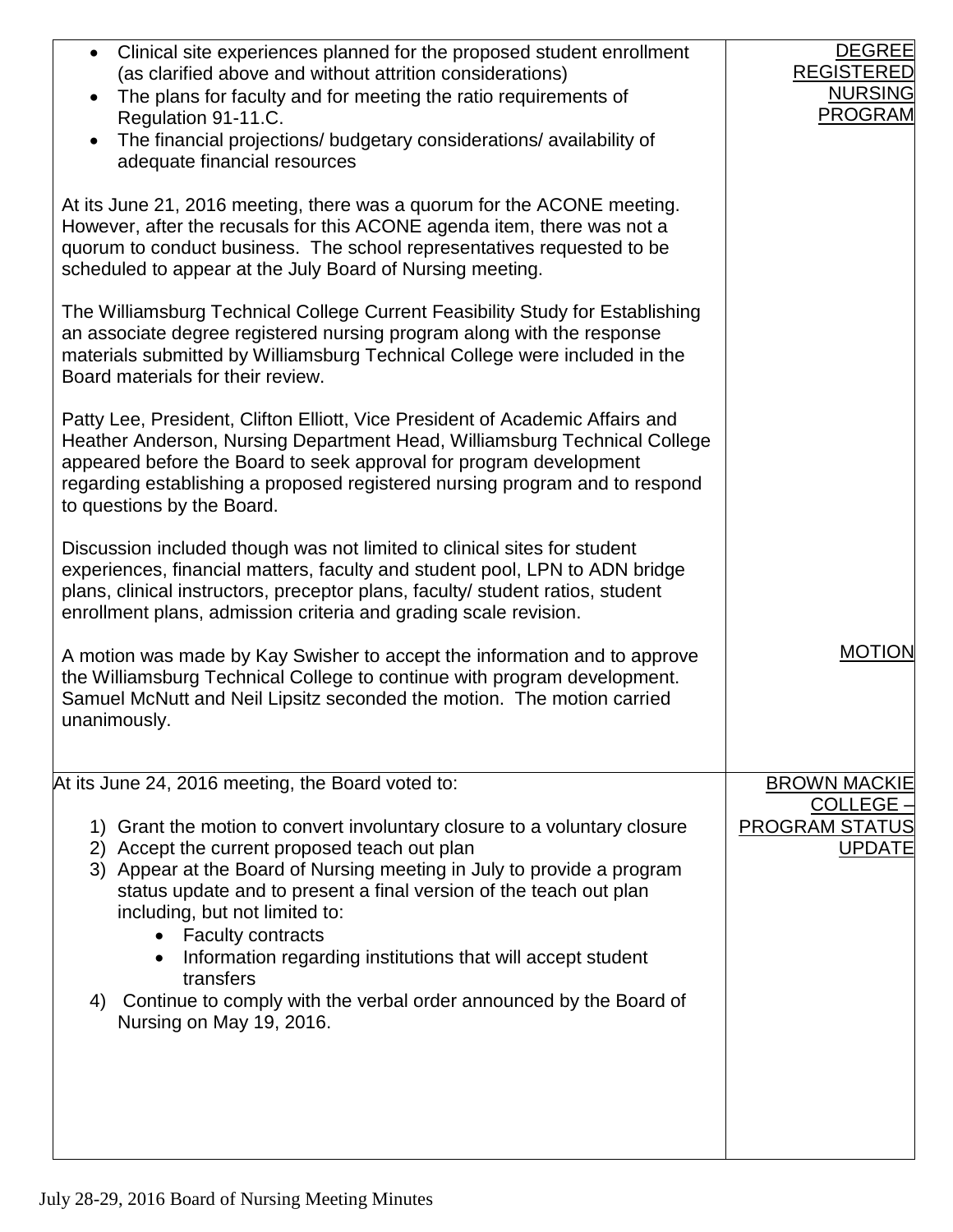| Clinical site experiences planned for the proposed student enrollment<br>$\bullet$<br>(as clarified above and without attrition considerations)<br>The plans for faculty and for meeting the ratio requirements of<br>Regulation 91-11.C.<br>The financial projections/ budgetary considerations/ availability of<br>$\bullet$<br>adequate financial resources                                                                                                                                                          | <b>DEGREE</b><br><b>REGISTERED</b><br><b>NURSING</b><br><b>PROGRAM</b> |
|-------------------------------------------------------------------------------------------------------------------------------------------------------------------------------------------------------------------------------------------------------------------------------------------------------------------------------------------------------------------------------------------------------------------------------------------------------------------------------------------------------------------------|------------------------------------------------------------------------|
| At its June 21, 2016 meeting, there was a quorum for the ACONE meeting.<br>However, after the recusals for this ACONE agenda item, there was not a<br>quorum to conduct business. The school representatives requested to be<br>scheduled to appear at the July Board of Nursing meeting.                                                                                                                                                                                                                               |                                                                        |
| The Williamsburg Technical College Current Feasibility Study for Establishing<br>an associate degree registered nursing program along with the response<br>materials submitted by Williamsburg Technical College were included in the<br>Board materials for their review.                                                                                                                                                                                                                                              |                                                                        |
| Patty Lee, President, Clifton Elliott, Vice President of Academic Affairs and<br>Heather Anderson, Nursing Department Head, Williamsburg Technical College<br>appeared before the Board to seek approval for program development<br>regarding establishing a proposed registered nursing program and to respond<br>to questions by the Board.                                                                                                                                                                           |                                                                        |
| Discussion included though was not limited to clinical sites for student<br>experiences, financial matters, faculty and student pool, LPN to ADN bridge<br>plans, clinical instructors, preceptor plans, faculty/ student ratios, student<br>enrollment plans, admission criteria and grading scale revision.                                                                                                                                                                                                           |                                                                        |
| A motion was made by Kay Swisher to accept the information and to approve<br>the Williamsburg Technical College to continue with program development.<br>Samuel McNutt and Neil Lipsitz seconded the motion. The motion carried<br>unanimously.                                                                                                                                                                                                                                                                         | <b>MOTION</b>                                                          |
| At its June 24, 2016 meeting, the Board voted to:                                                                                                                                                                                                                                                                                                                                                                                                                                                                       | <b>BROWN MACKIE</b>                                                    |
| 1) Grant the motion to convert involuntary closure to a voluntary closure<br>2) Accept the current proposed teach out plan<br>3) Appear at the Board of Nursing meeting in July to provide a program<br>status update and to present a final version of the teach out plan<br>including, but not limited to:<br>• Faculty contracts<br>Information regarding institutions that will accept student<br>transfers<br>Continue to comply with the verbal order announced by the Board of<br>4)<br>Nursing on May 19, 2016. | <b>COLLEGE -</b><br><b>PROGRAM STATUS</b><br><b>UPDATE</b>             |
|                                                                                                                                                                                                                                                                                                                                                                                                                                                                                                                         |                                                                        |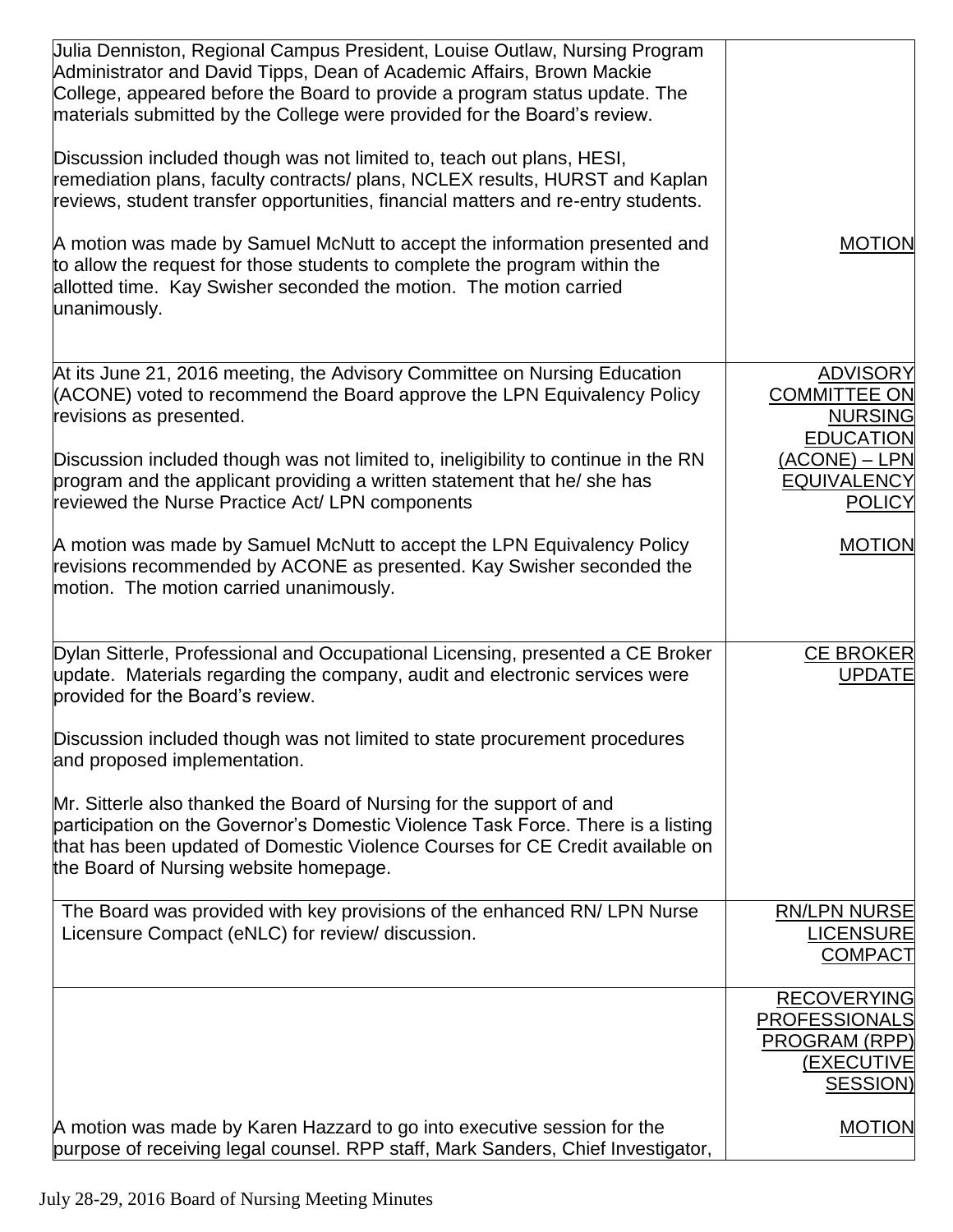| Uulia Denniston, Regional Campus President, Louise Outlaw, Nursing Program<br>Administrator and David Tipps, Dean of Academic Affairs, Brown Mackie<br>College, appeared before the Board to provide a program status update. The<br>materials submitted by the College were provided for the Board's review. |                                                                                              |
|---------------------------------------------------------------------------------------------------------------------------------------------------------------------------------------------------------------------------------------------------------------------------------------------------------------|----------------------------------------------------------------------------------------------|
| Discussion included though was not limited to, teach out plans, HESI,<br>remediation plans, faculty contracts/ plans, NCLEX results, HURST and Kaplan<br>reviews, student transfer opportunities, financial matters and re-entry students.                                                                    |                                                                                              |
| A motion was made by Samuel McNutt to accept the information presented and<br>to allow the request for those students to complete the program within the<br>allotted time. Kay Swisher seconded the motion. The motion carried<br>unanimously.                                                                | <b>MOTION</b>                                                                                |
| At its June 21, 2016 meeting, the Advisory Committee on Nursing Education<br>(ACONE) voted to recommend the Board approve the LPN Equivalency Policy<br>revisions as presented.                                                                                                                               | <b>ADVISORY</b><br><b>COMMITTEE ON</b><br><b>NURSING</b><br><b>EDUCATION</b>                 |
| Discussion included though was not limited to, ineligibility to continue in the RN<br>program and the applicant providing a written statement that he/ she has<br>reviewed the Nurse Practice Act/ LPN components                                                                                             | $(ACONE) - LPN$<br><b>EQUIVALENCY</b><br><b>POLICY</b>                                       |
| A motion was made by Samuel McNutt to accept the LPN Equivalency Policy<br>revisions recommended by ACONE as presented. Kay Swisher seconded the<br>motion. The motion carried unanimously.                                                                                                                   | <b>MOTION</b>                                                                                |
| Dylan Sitterle, Professional and Occupational Licensing, presented a CE Broker<br>update. Materials regarding the company, audit and electronic services were<br>provided for the Board's review.                                                                                                             | <b>CE BROKER</b><br><b>UPDATE</b>                                                            |
| Discussion included though was not limited to state procurement procedures<br>and proposed implementation.                                                                                                                                                                                                    |                                                                                              |
| Mr. Sitterle also thanked the Board of Nursing for the support of and<br>participation on the Governor's Domestic Violence Task Force. There is a listing<br>that has been updated of Domestic Violence Courses for CE Credit available on<br>the Board of Nursing website homepage.                          |                                                                                              |
| The Board was provided with key provisions of the enhanced RN/ LPN Nurse<br>Licensure Compact (eNLC) for review/ discussion.                                                                                                                                                                                  | <b>RN/LPN NURSE</b><br><b>LICENSURE</b><br><b>COMPACT</b>                                    |
|                                                                                                                                                                                                                                                                                                               | <b>RECOVERYING</b><br><b>PROFESSIONALS</b><br>PROGRAM (RPP)<br><b>(EXECUTIVE</b><br>SESSION) |
| A motion was made by Karen Hazzard to go into executive session for the<br>purpose of receiving legal counsel. RPP staff, Mark Sanders, Chief Investigator,                                                                                                                                                   | <b>MOTION</b>                                                                                |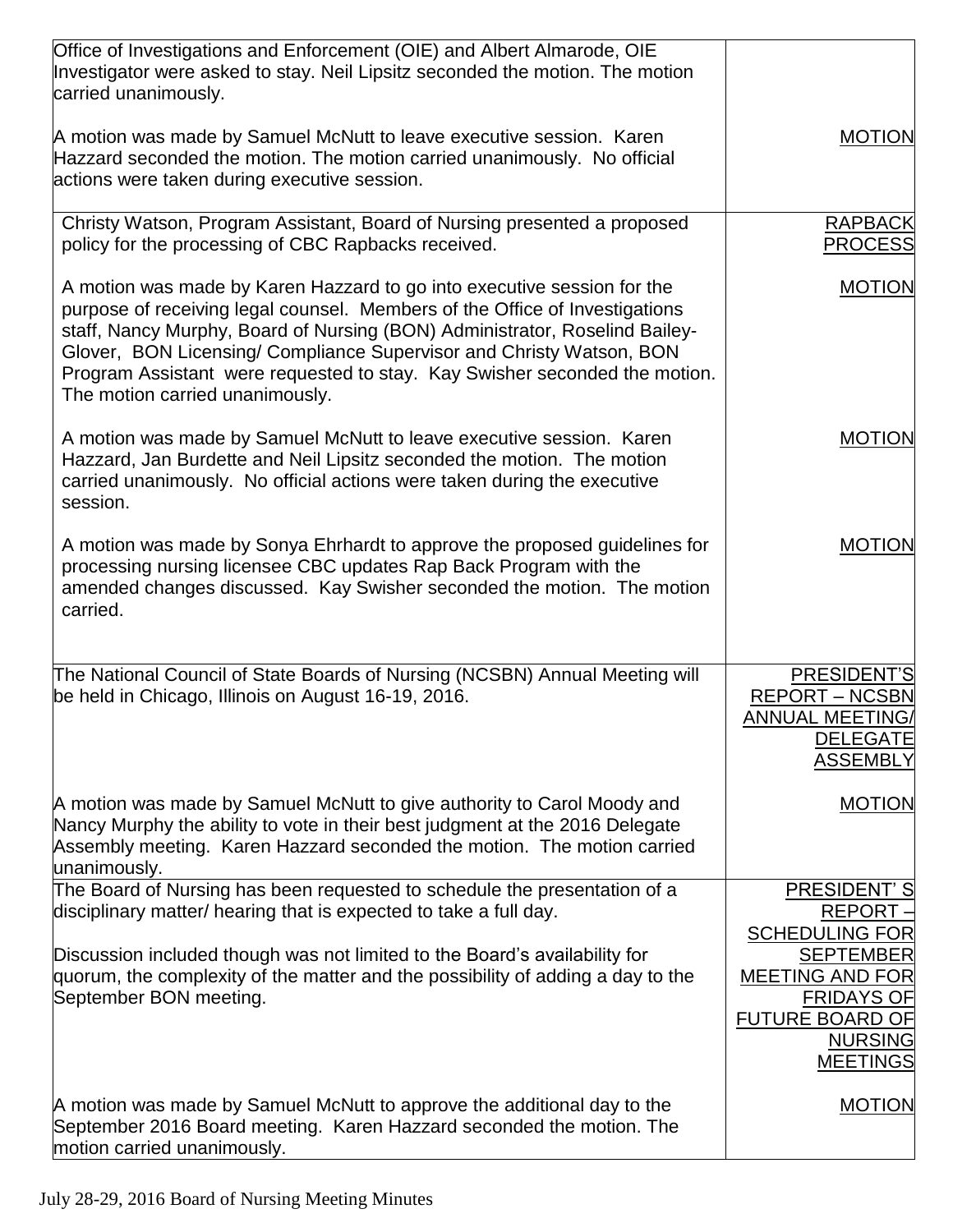| Office of Investigations and Enforcement (OIE) and Albert Almarode, OIE<br>Investigator were asked to stay. Neil Lipsitz seconded the motion. The motion<br>carried unanimously.                                                                                                                                                                                                                                               |                                                                                                                                |
|--------------------------------------------------------------------------------------------------------------------------------------------------------------------------------------------------------------------------------------------------------------------------------------------------------------------------------------------------------------------------------------------------------------------------------|--------------------------------------------------------------------------------------------------------------------------------|
| A motion was made by Samuel McNutt to leave executive session. Karen<br>Hazzard seconded the motion. The motion carried unanimously. No official<br>actions were taken during executive session.                                                                                                                                                                                                                               | <b>MOTION</b>                                                                                                                  |
| Christy Watson, Program Assistant, Board of Nursing presented a proposed<br>policy for the processing of CBC Rapbacks received.                                                                                                                                                                                                                                                                                                | <b>RAPBACK</b><br><b>PROCESS</b>                                                                                               |
| A motion was made by Karen Hazzard to go into executive session for the<br>purpose of receiving legal counsel. Members of the Office of Investigations<br>staff, Nancy Murphy, Board of Nursing (BON) Administrator, Roselind Bailey-<br>Glover, BON Licensing/ Compliance Supervisor and Christy Watson, BON<br>Program Assistant were requested to stay. Kay Swisher seconded the motion.<br>The motion carried unanimously. | <b>MOTION</b>                                                                                                                  |
| A motion was made by Samuel McNutt to leave executive session. Karen<br>Hazzard, Jan Burdette and Neil Lipsitz seconded the motion. The motion<br>carried unanimously. No official actions were taken during the executive<br>session.                                                                                                                                                                                         | <b>MOTION</b>                                                                                                                  |
| A motion was made by Sonya Ehrhardt to approve the proposed guidelines for<br>processing nursing licensee CBC updates Rap Back Program with the<br>amended changes discussed. Kay Swisher seconded the motion. The motion<br>carried.                                                                                                                                                                                          | <b>MOTION</b>                                                                                                                  |
| The National Council of State Boards of Nursing (NCSBN) Annual Meeting will<br>be held in Chicago, Illinois on August 16-19, 2016.                                                                                                                                                                                                                                                                                             | PRESIDENT'S<br><b>REPORT - NCSBN</b><br><b>ANNUAL MEETING/</b><br><b>DELEGATE</b><br><b>ASSEMBLY</b>                           |
| A motion was made by Samuel McNutt to give authority to Carol Moody and<br>Nancy Murphy the ability to vote in their best judgment at the 2016 Delegate<br>Assembly meeting. Karen Hazzard seconded the motion. The motion carried<br>unanimously.                                                                                                                                                                             | <b>MOTION</b>                                                                                                                  |
| The Board of Nursing has been requested to schedule the presentation of a<br>disciplinary matter/ hearing that is expected to take a full day.                                                                                                                                                                                                                                                                                 | PRESIDENT'S<br>REPORT-<br><b>SCHEDULING FOR</b>                                                                                |
| Discussion included though was not limited to the Board's availability for<br>quorum, the complexity of the matter and the possibility of adding a day to the<br>September BON meeting.                                                                                                                                                                                                                                        | <b>SEPTEMBER</b><br><b>MEETING AND FOR</b><br><b>FRIDAYS OF</b><br><b>FUTURE BOARD OF</b><br><b>NURSING</b><br><b>MEETINGS</b> |
| A motion was made by Samuel McNutt to approve the additional day to the<br>September 2016 Board meeting. Karen Hazzard seconded the motion. The<br>motion carried unanimously.                                                                                                                                                                                                                                                 | <b>MOTION</b>                                                                                                                  |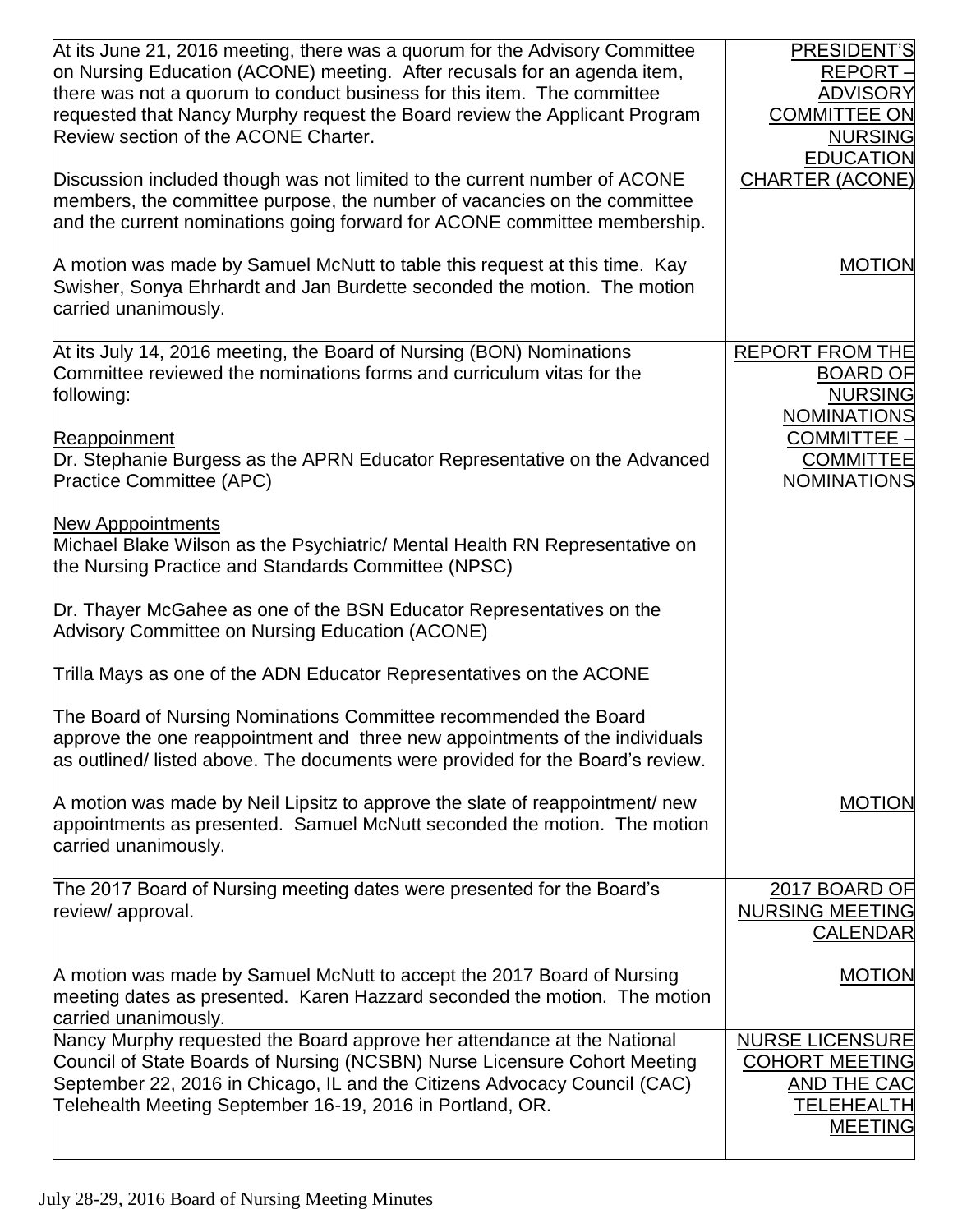| At its June 21, 2016 meeting, there was a quorum for the Advisory Committee<br>on Nursing Education (ACONE) meeting. After recusals for an agenda item,<br>there was not a quorum to conduct business for this item. The committee<br>requested that Nancy Murphy request the Board review the Applicant Program<br>Review section of the ACONE Charter. | PRESIDENT'S<br>REPORT-<br><b>ADVISORY</b><br><b>COMMITTEE ON</b><br><b>NURSING</b><br><b>EDUCATION</b> |
|----------------------------------------------------------------------------------------------------------------------------------------------------------------------------------------------------------------------------------------------------------------------------------------------------------------------------------------------------------|--------------------------------------------------------------------------------------------------------|
| Discussion included though was not limited to the current number of ACONE<br>members, the committee purpose, the number of vacancies on the committee<br>and the current nominations going forward for ACONE committee membership.                                                                                                                       | <b>CHARTER (ACONE)</b>                                                                                 |
| A motion was made by Samuel McNutt to table this request at this time. Kay<br>Swisher, Sonya Ehrhardt and Jan Burdette seconded the motion. The motion<br>carried unanimously.                                                                                                                                                                           | <b>MOTION</b>                                                                                          |
| At its July 14, 2016 meeting, the Board of Nursing (BON) Nominations<br>Committee reviewed the nominations forms and curriculum vitas for the<br>following:                                                                                                                                                                                              | <b>REPORT FROM THE</b><br><b>BOARD OF</b><br><b>NURSING</b><br><b>NOMINATIONS</b>                      |
| Reappoinment<br>Dr. Stephanie Burgess as the APRN Educator Representative on the Advanced<br><b>Practice Committee (APC)</b>                                                                                                                                                                                                                             | <b>COMMITTEE -</b><br><b>COMMITTEE</b><br><b>NOMINATIONS</b>                                           |
| <b>New Apppointments</b><br>Michael Blake Wilson as the Psychiatric/ Mental Health RN Representative on<br>the Nursing Practice and Standards Committee (NPSC)                                                                                                                                                                                           |                                                                                                        |
| Dr. Thayer McGahee as one of the BSN Educator Representatives on the<br>Advisory Committee on Nursing Education (ACONE)                                                                                                                                                                                                                                  |                                                                                                        |
| Trilla Mays as one of the ADN Educator Representatives on the ACONE                                                                                                                                                                                                                                                                                      |                                                                                                        |
| The Board of Nursing Nominations Committee recommended the Board<br>approve the one reappointment and three new appointments of the individuals<br>as outlined/ listed above. The documents were provided for the Board's review.                                                                                                                        |                                                                                                        |
| A motion was made by Neil Lipsitz to approve the slate of reappointment/ new<br>appointments as presented. Samuel McNutt seconded the motion. The motion<br>carried unanimously.                                                                                                                                                                         | <b>MOTION</b>                                                                                          |
| The 2017 Board of Nursing meeting dates were presented for the Board's<br>review/ approval.                                                                                                                                                                                                                                                              | 2017 BOARD OF<br><b>NURSING MEETING</b><br><b>CALENDAR</b>                                             |
| A motion was made by Samuel McNutt to accept the 2017 Board of Nursing<br>meeting dates as presented. Karen Hazzard seconded the motion. The motion<br>carried unanimously.                                                                                                                                                                              | <b>MOTION</b>                                                                                          |
| Nancy Murphy requested the Board approve her attendance at the National<br>Council of State Boards of Nursing (NCSBN) Nurse Licensure Cohort Meeting<br>September 22, 2016 in Chicago, IL and the Citizens Advocacy Council (CAC)<br>Telehealth Meeting September 16-19, 2016 in Portland, OR.                                                           | <b>NURSE LICENSURE</b><br><b>COHORT MEETING</b><br>AND THE CAC<br>TELEHEALTH<br><b>MEETING</b>         |
|                                                                                                                                                                                                                                                                                                                                                          |                                                                                                        |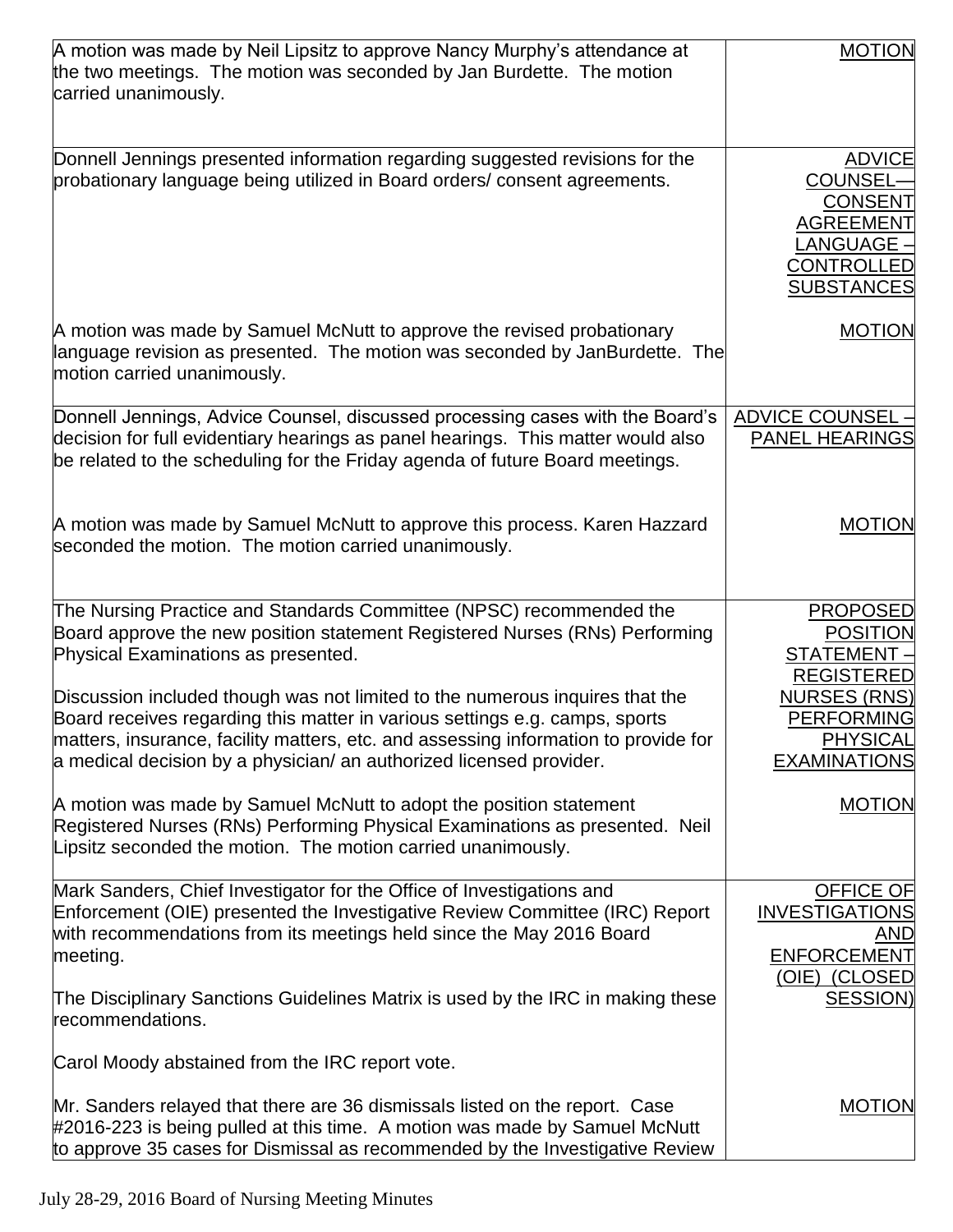| A motion was made by Neil Lipsitz to approve Nancy Murphy's attendance at<br>the two meetings. The motion was seconded by Jan Burdette. The motion<br>carried unanimously.                                                                                                                                                                                                                                                                                                                                             | <b>MOTION</b>                                                                                                                                                |
|------------------------------------------------------------------------------------------------------------------------------------------------------------------------------------------------------------------------------------------------------------------------------------------------------------------------------------------------------------------------------------------------------------------------------------------------------------------------------------------------------------------------|--------------------------------------------------------------------------------------------------------------------------------------------------------------|
| Donnell Jennings presented information regarding suggested revisions for the<br>probationary language being utilized in Board orders/ consent agreements.                                                                                                                                                                                                                                                                                                                                                              | <b>ADVICE</b><br>COUNSEL-<br><b>CONSENT</b><br><b>AGREEMENT</b><br>LANGUAGE -<br><b>CONTROLLED</b><br><b>SUBSTANCES</b>                                      |
| A motion was made by Samuel McNutt to approve the revised probationary<br>language revision as presented. The motion was seconded by JanBurdette. The<br>motion carried unanimously.                                                                                                                                                                                                                                                                                                                                   | <b>MOTION</b>                                                                                                                                                |
| Donnell Jennings, Advice Counsel, discussed processing cases with the Board's<br>decision for full evidentiary hearings as panel hearings. This matter would also<br>be related to the scheduling for the Friday agenda of future Board meetings.                                                                                                                                                                                                                                                                      | <b>ADVICE COUNSEL -</b><br><b>PANEL HEARINGS</b>                                                                                                             |
| A motion was made by Samuel McNutt to approve this process. Karen Hazzard<br>seconded the motion. The motion carried unanimously.                                                                                                                                                                                                                                                                                                                                                                                      | <b>MOTION</b>                                                                                                                                                |
| The Nursing Practice and Standards Committee (NPSC) recommended the<br>Board approve the new position statement Registered Nurses (RNs) Performing<br>Physical Examinations as presented.<br>Discussion included though was not limited to the numerous inquires that the<br>Board receives regarding this matter in various settings e.g. camps, sports<br>matters, insurance, facility matters, etc. and assessing information to provide for<br>a medical decision by a physician/ an authorized licensed provider. | <b>PROPOSED</b><br><b>POSITION</b><br>STATEMENT -<br><b>REGISTERED</b><br><b>NURSES (RNS)</b><br><b>PERFORMING</b><br><b>PHYSICAL</b><br><b>EXAMINATIONS</b> |
| A motion was made by Samuel McNutt to adopt the position statement<br>Registered Nurses (RNs) Performing Physical Examinations as presented. Neil<br>Lipsitz seconded the motion. The motion carried unanimously.                                                                                                                                                                                                                                                                                                      | <b>MOTION</b>                                                                                                                                                |
| Mark Sanders, Chief Investigator for the Office of Investigations and<br>Enforcement (OIE) presented the Investigative Review Committee (IRC) Report<br>with recommendations from its meetings held since the May 2016 Board<br>meeting.                                                                                                                                                                                                                                                                               | OFFICE OF<br><b>INVESTIGATIONS</b><br>AND<br><b>ENFORCEMENT</b><br>(OIE) (CLOSED                                                                             |
| The Disciplinary Sanctions Guidelines Matrix is used by the IRC in making these<br>recommendations.<br>Carol Moody abstained from the IRC report vote.                                                                                                                                                                                                                                                                                                                                                                 | <b>SESSION)</b>                                                                                                                                              |
| Mr. Sanders relayed that there are 36 dismissals listed on the report. Case<br>#2016-223 is being pulled at this time. A motion was made by Samuel McNutt<br>to approve 35 cases for Dismissal as recommended by the Investigative Review                                                                                                                                                                                                                                                                              | <b>MOTION</b>                                                                                                                                                |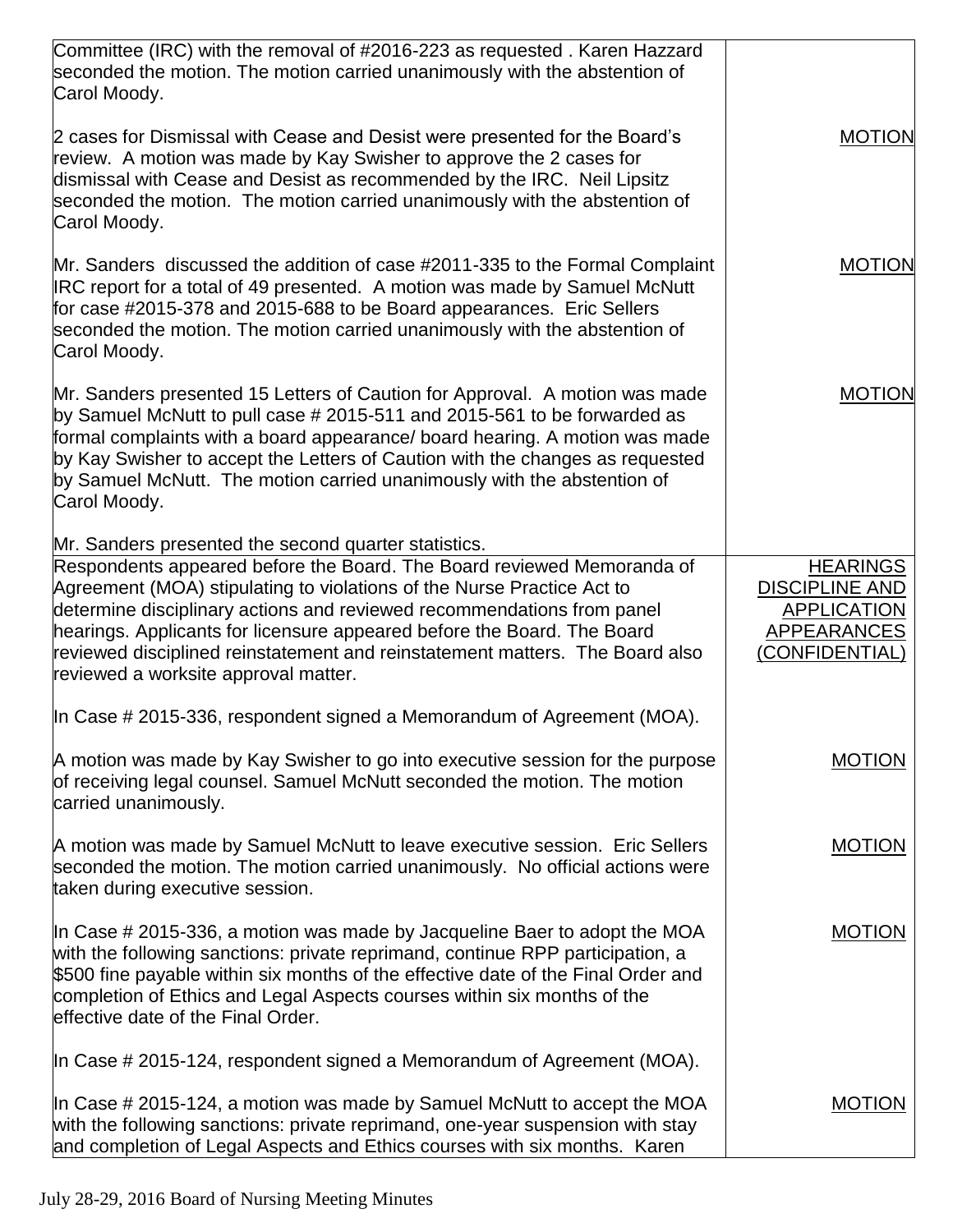| Committee (IRC) with the removal of #2016-223 as requested. Karen Hazzard<br>seconded the motion. The motion carried unanimously with the abstention of<br>Carol Moody.                                                                                                                                                                                                                                                       |                                                                                                        |
|-------------------------------------------------------------------------------------------------------------------------------------------------------------------------------------------------------------------------------------------------------------------------------------------------------------------------------------------------------------------------------------------------------------------------------|--------------------------------------------------------------------------------------------------------|
| 2 cases for Dismissal with Cease and Desist were presented for the Board's<br>review. A motion was made by Kay Swisher to approve the 2 cases for<br>dismissal with Cease and Desist as recommended by the IRC. Neil Lipsitz<br>seconded the motion. The motion carried unanimously with the abstention of<br>Carol Moody.                                                                                                    | <b>MOTION</b>                                                                                          |
| Mr. Sanders discussed the addition of case #2011-335 to the Formal Complaint<br>IRC report for a total of 49 presented. A motion was made by Samuel McNutt<br>for case #2015-378 and 2015-688 to be Board appearances. Eric Sellers<br>seconded the motion. The motion carried unanimously with the abstention of<br>Carol Moody.                                                                                             | <b>MOTION</b>                                                                                          |
| Mr. Sanders presented 15 Letters of Caution for Approval. A motion was made<br>by Samuel McNutt to pull case # 2015-511 and 2015-561 to be forwarded as<br>formal complaints with a board appearance/ board hearing. A motion was made<br>by Kay Swisher to accept the Letters of Caution with the changes as requested<br>by Samuel McNutt. The motion carried unanimously with the abstention of<br>Carol Moody.            | <b>MOTION</b>                                                                                          |
| Mr. Sanders presented the second quarter statistics.                                                                                                                                                                                                                                                                                                                                                                          |                                                                                                        |
| Respondents appeared before the Board. The Board reviewed Memoranda of<br>Agreement (MOA) stipulating to violations of the Nurse Practice Act to<br>determine disciplinary actions and reviewed recommendations from panel<br>hearings. Applicants for licensure appeared before the Board. The Board<br>reviewed disciplined reinstatement and reinstatement matters. The Board also<br>reviewed a worksite approval matter. | <b>HEARINGS</b><br><b>DISCIPLINE AND</b><br><b>APPLICATION</b><br><b>APPEARANCES</b><br>(CONFIDENTIAL) |
| In Case # 2015-336, respondent signed a Memorandum of Agreement (MOA).                                                                                                                                                                                                                                                                                                                                                        |                                                                                                        |
| A motion was made by Kay Swisher to go into executive session for the purpose<br>of receiving legal counsel. Samuel McNutt seconded the motion. The motion<br>carried unanimously.                                                                                                                                                                                                                                            | MOTION                                                                                                 |
| A motion was made by Samuel McNutt to leave executive session. Eric Sellers<br>seconded the motion. The motion carried unanimously. No official actions were<br>taken during executive session.                                                                                                                                                                                                                               | <b>MOTION</b>                                                                                          |
| In Case # 2015-336, a motion was made by Jacqueline Baer to adopt the MOA<br>with the following sanctions: private reprimand, continue RPP participation, a<br>\$500 fine payable within six months of the effective date of the Final Order and<br>completion of Ethics and Legal Aspects courses within six months of the<br>effective date of the Final Order.                                                             | <b>MOTION</b>                                                                                          |
| In Case # 2015-124, respondent signed a Memorandum of Agreement (MOA).                                                                                                                                                                                                                                                                                                                                                        |                                                                                                        |
| In Case $\#$ 2015-124, a motion was made by Samuel McNutt to accept the MOA<br>with the following sanctions: private reprimand, one-year suspension with stay<br>and completion of Legal Aspects and Ethics courses with six months. Karen                                                                                                                                                                                    | <b>MOTION</b>                                                                                          |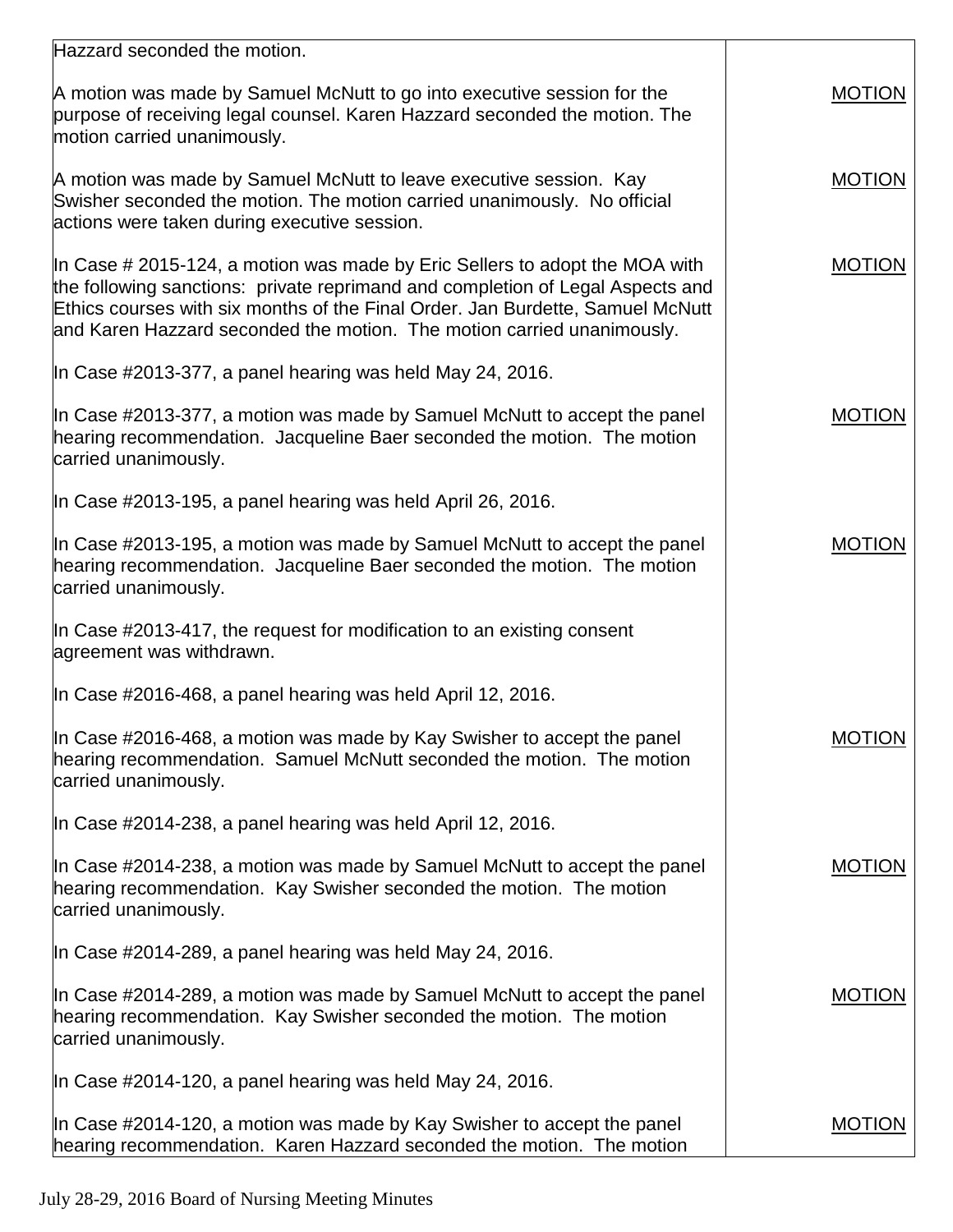| Hazzard seconded the motion.                                                                                                                                                                                                                                                                                                 |               |
|------------------------------------------------------------------------------------------------------------------------------------------------------------------------------------------------------------------------------------------------------------------------------------------------------------------------------|---------------|
| A motion was made by Samuel McNutt to go into executive session for the<br>purpose of receiving legal counsel. Karen Hazzard seconded the motion. The<br>motion carried unanimously.                                                                                                                                         | <b>MOTION</b> |
| A motion was made by Samuel McNutt to leave executive session. Kay<br>Swisher seconded the motion. The motion carried unanimously. No official<br>actions were taken during executive session.                                                                                                                               | <b>MOTION</b> |
| In Case $\#$ 2015-124, a motion was made by Eric Sellers to adopt the MOA with<br>the following sanctions: private reprimand and completion of Legal Aspects and<br>Ethics courses with six months of the Final Order. Jan Burdette, Samuel McNutt<br>and Karen Hazzard seconded the motion. The motion carried unanimously. | <b>MOTION</b> |
| In Case #2013-377, a panel hearing was held May 24, 2016.                                                                                                                                                                                                                                                                    |               |
| In Case #2013-377, a motion was made by Samuel McNutt to accept the panel<br>hearing recommendation. Jacqueline Baer seconded the motion. The motion<br>carried unanimously.                                                                                                                                                 | <b>MOTION</b> |
| In Case #2013-195, a panel hearing was held April 26, 2016.                                                                                                                                                                                                                                                                  |               |
| In Case #2013-195, a motion was made by Samuel McNutt to accept the panel<br>hearing recommendation. Jacqueline Baer seconded the motion. The motion<br>carried unanimously.                                                                                                                                                 | <b>MOTION</b> |
| In Case #2013-417, the request for modification to an existing consent<br>agreement was withdrawn.                                                                                                                                                                                                                           |               |
| In Case #2016-468, a panel hearing was held April 12, 2016.                                                                                                                                                                                                                                                                  |               |
| In Case #2016-468, a motion was made by Kay Swisher to accept the panel<br>hearing recommendation. Samuel McNutt seconded the motion. The motion<br>carried unanimously.                                                                                                                                                     | <b>MOTION</b> |
| In Case #2014-238, a panel hearing was held April 12, 2016.                                                                                                                                                                                                                                                                  |               |
| In Case #2014-238, a motion was made by Samuel McNutt to accept the panel<br>hearing recommendation. Kay Swisher seconded the motion. The motion<br>carried unanimously.                                                                                                                                                     | <b>MOTION</b> |
| In Case #2014-289, a panel hearing was held May 24, 2016.                                                                                                                                                                                                                                                                    |               |
| In Case #2014-289, a motion was made by Samuel McNutt to accept the panel<br>hearing recommendation. Kay Swisher seconded the motion. The motion<br>carried unanimously.                                                                                                                                                     | <b>MOTION</b> |
| In Case #2014-120, a panel hearing was held May 24, 2016.                                                                                                                                                                                                                                                                    |               |
| In Case #2014-120, a motion was made by Kay Swisher to accept the panel<br>hearing recommendation. Karen Hazzard seconded the motion. The motion                                                                                                                                                                             | <b>MOTION</b> |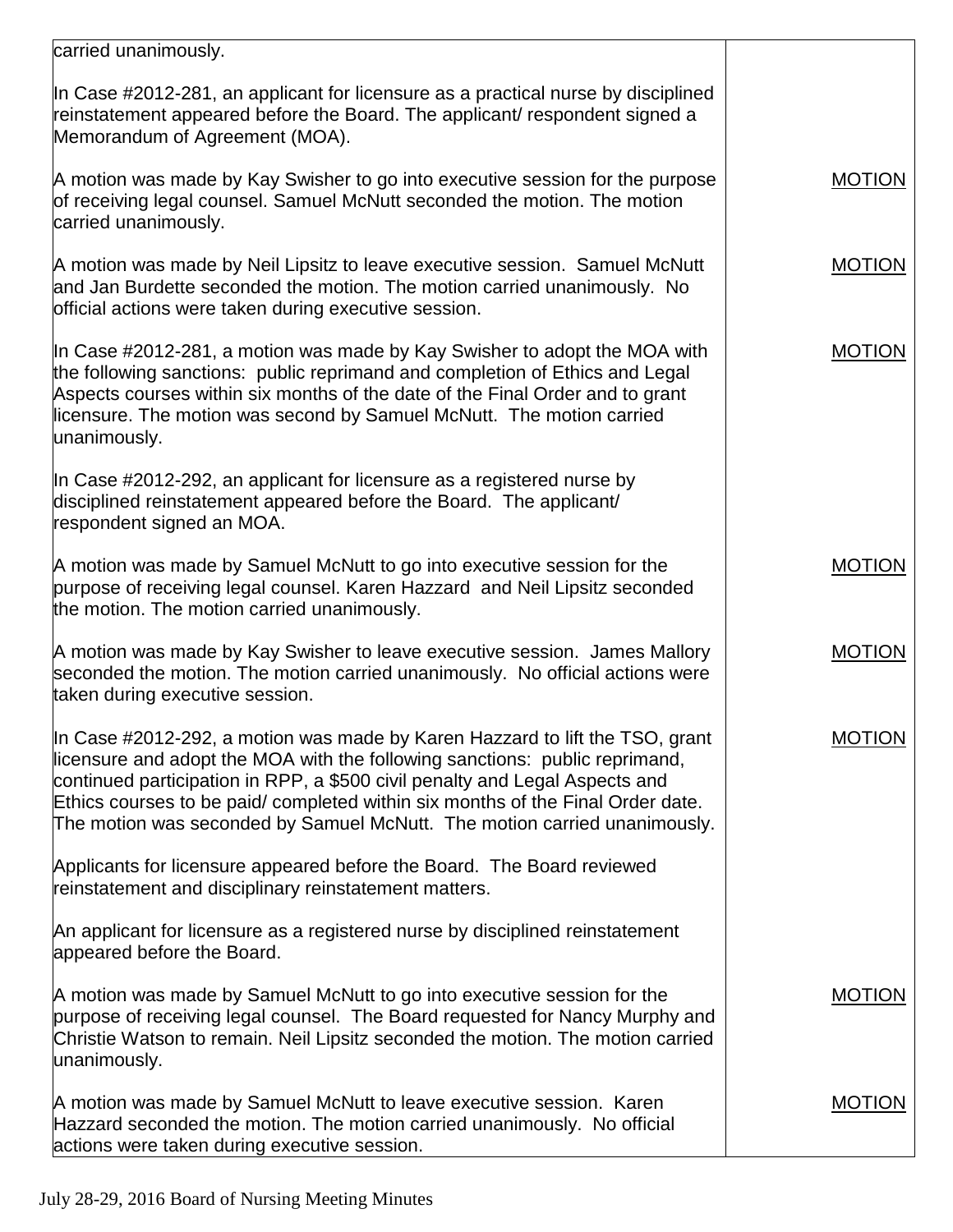| carried unanimously.                                                                                                                                                                                                                                                                                                                                                                                       |               |
|------------------------------------------------------------------------------------------------------------------------------------------------------------------------------------------------------------------------------------------------------------------------------------------------------------------------------------------------------------------------------------------------------------|---------------|
| In Case #2012-281, an applicant for licensure as a practical nurse by disciplined<br>reinstatement appeared before the Board. The applicant/ respondent signed a<br>Memorandum of Agreement (MOA).                                                                                                                                                                                                         |               |
| A motion was made by Kay Swisher to go into executive session for the purpose<br>of receiving legal counsel. Samuel McNutt seconded the motion. The motion<br>carried unanimously.                                                                                                                                                                                                                         | <b>MOTION</b> |
| A motion was made by Neil Lipsitz to leave executive session. Samuel McNutt<br>and Jan Burdette seconded the motion. The motion carried unanimously. No<br>official actions were taken during executive session.                                                                                                                                                                                           | <b>MOTION</b> |
| In Case #2012-281, a motion was made by Kay Swisher to adopt the MOA with<br>the following sanctions: public reprimand and completion of Ethics and Legal<br>Aspects courses within six months of the date of the Final Order and to grant<br>licensure. The motion was second by Samuel McNutt. The motion carried<br>unanimously.                                                                        | <b>MOTION</b> |
| In Case #2012-292, an applicant for licensure as a registered nurse by<br>disciplined reinstatement appeared before the Board. The applicant/<br>respondent signed an MOA.                                                                                                                                                                                                                                 |               |
| A motion was made by Samuel McNutt to go into executive session for the<br>purpose of receiving legal counsel. Karen Hazzard and Neil Lipsitz seconded<br>the motion. The motion carried unanimously.                                                                                                                                                                                                      | <b>MOTION</b> |
| A motion was made by Kay Swisher to leave executive session. James Mallory<br>seconded the motion. The motion carried unanimously. No official actions were<br>taken during executive session.                                                                                                                                                                                                             | <b>MOTION</b> |
| In Case #2012-292, a motion was made by Karen Hazzard to lift the TSO, grant<br>licensure and adopt the MOA with the following sanctions: public reprimand,<br>continued participation in RPP, a \$500 civil penalty and Legal Aspects and<br>Ethics courses to be paid/ completed within six months of the Final Order date.<br>The motion was seconded by Samuel McNutt. The motion carried unanimously. | <b>MOTION</b> |
| Applicants for licensure appeared before the Board. The Board reviewed<br>reinstatement and disciplinary reinstatement matters.                                                                                                                                                                                                                                                                            |               |
| An applicant for licensure as a registered nurse by disciplined reinstatement<br>appeared before the Board.                                                                                                                                                                                                                                                                                                |               |
| A motion was made by Samuel McNutt to go into executive session for the<br>purpose of receiving legal counsel. The Board requested for Nancy Murphy and<br>Christie Watson to remain. Neil Lipsitz seconded the motion. The motion carried<br>unanimously.                                                                                                                                                 | <b>MOTION</b> |
| A motion was made by Samuel McNutt to leave executive session. Karen<br>Hazzard seconded the motion. The motion carried unanimously. No official<br>actions were taken during executive session.                                                                                                                                                                                                           | <b>MOTION</b> |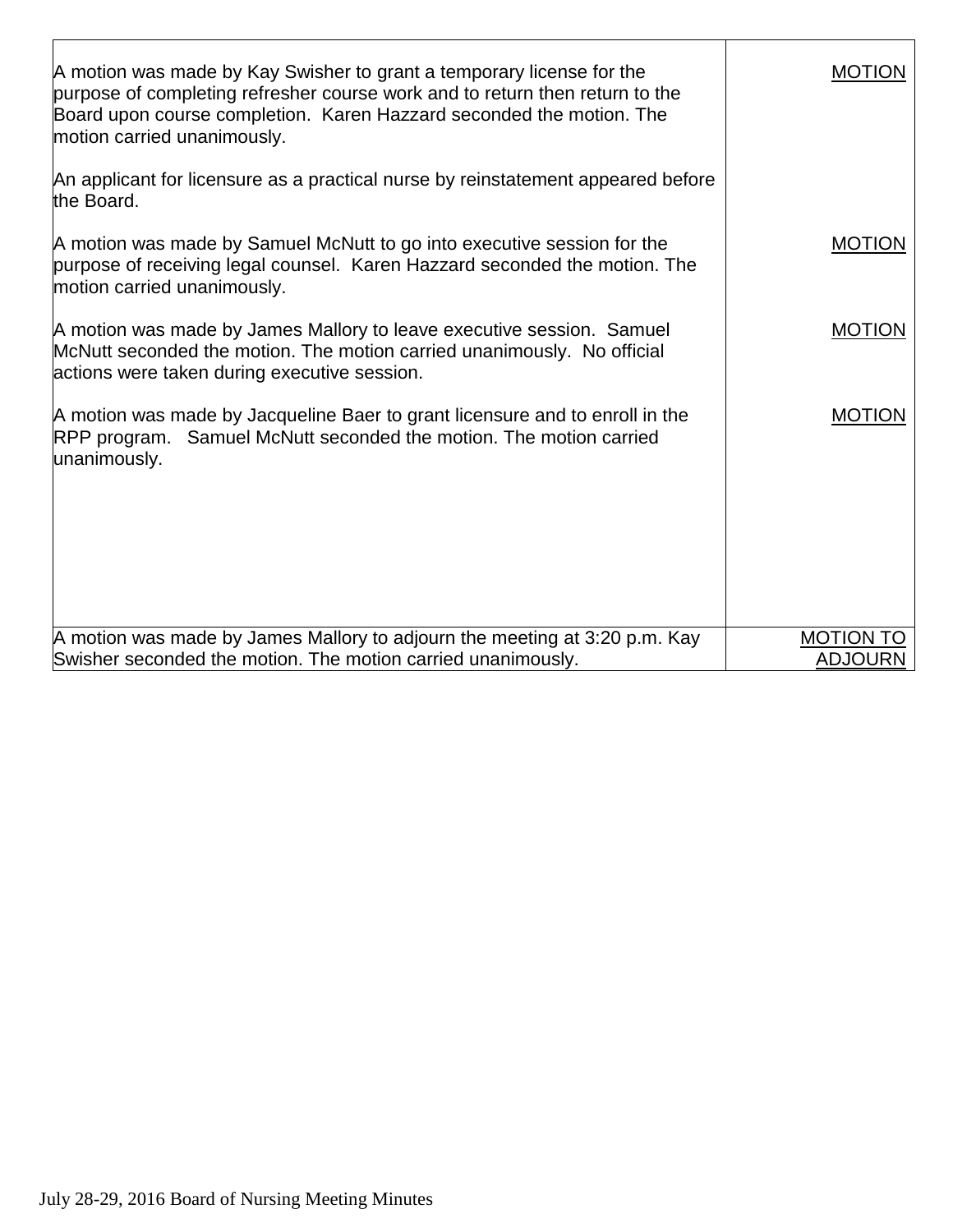| A motion was made by Kay Swisher to grant a temporary license for the<br>purpose of completing refresher course work and to return then return to the<br>Board upon course completion. Karen Hazzard seconded the motion. The<br>motion carried unanimously. | <b>MOTION</b>    |
|--------------------------------------------------------------------------------------------------------------------------------------------------------------------------------------------------------------------------------------------------------------|------------------|
| An applicant for licensure as a practical nurse by reinstatement appeared before<br>the Board.                                                                                                                                                               |                  |
| A motion was made by Samuel McNutt to go into executive session for the<br>purpose of receiving legal counsel. Karen Hazzard seconded the motion. The<br>motion carried unanimously.                                                                         | <b>MOTION</b>    |
| A motion was made by James Mallory to leave executive session. Samuel<br>McNutt seconded the motion. The motion carried unanimously. No official<br>actions were taken during executive session.                                                             | <b>MOTION</b>    |
| A motion was made by Jacqueline Baer to grant licensure and to enroll in the<br>RPP program. Samuel McNutt seconded the motion. The motion carried<br>unanimously.                                                                                           | <b>MOTION</b>    |
| A motion was made by James Mallory to adjourn the meeting at 3:20 p.m. Kay                                                                                                                                                                                   | <b>MOTION TO</b> |
| Swisher seconded the motion. The motion carried unanimously.                                                                                                                                                                                                 | <b>ADJOURN</b>   |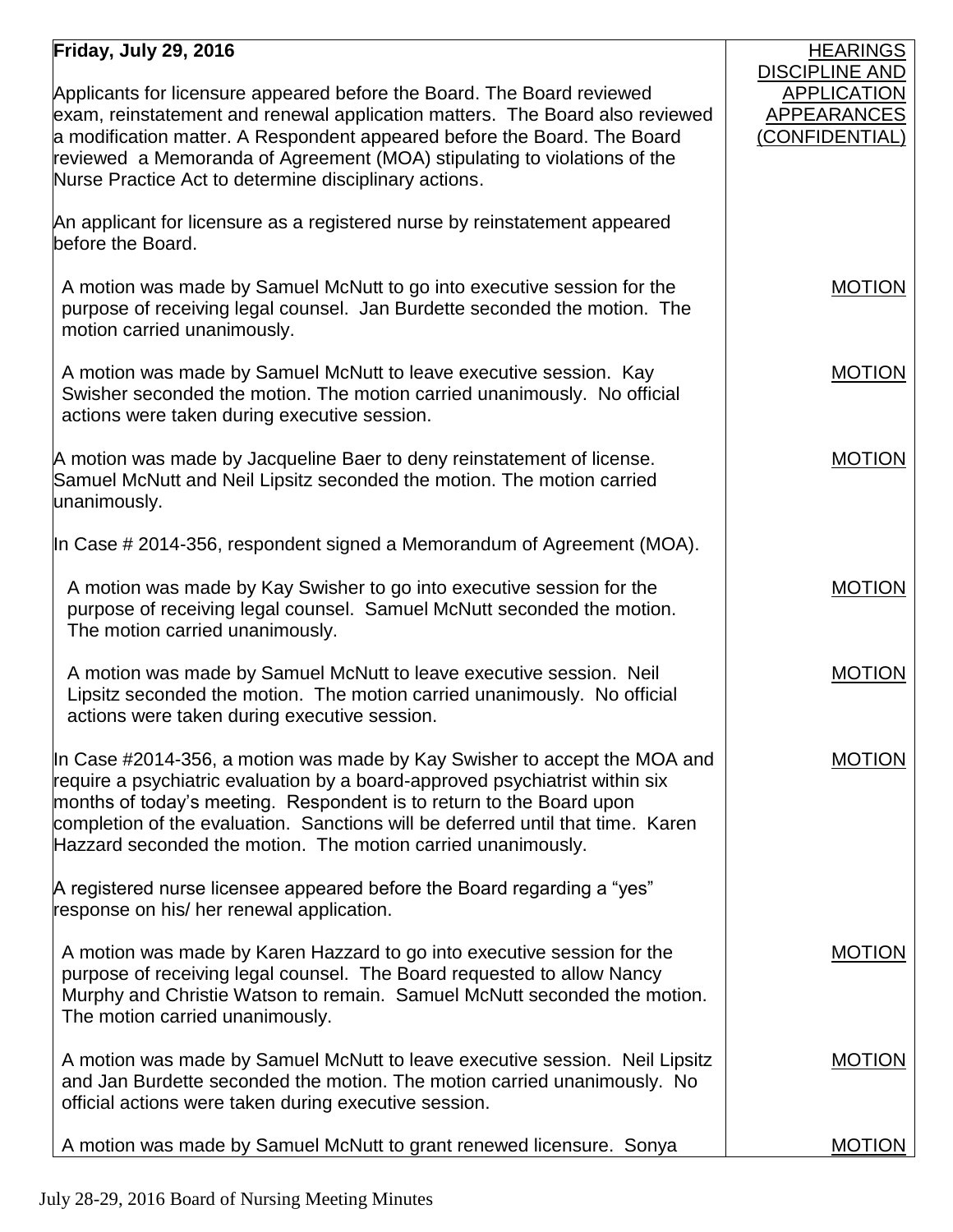## **Friday, July 29, 2016**

| Friday, July 29, 2016                                                                                                                                                                                                                                                                                                                                                                | <b>HEARINGS</b>                                                              |
|--------------------------------------------------------------------------------------------------------------------------------------------------------------------------------------------------------------------------------------------------------------------------------------------------------------------------------------------------------------------------------------|------------------------------------------------------------------------------|
| Applicants for licensure appeared before the Board. The Board reviewed<br>exam, reinstatement and renewal application matters. The Board also reviewed<br>a modification matter. A Respondent appeared before the Board. The Board<br>reviewed a Memoranda of Agreement (MOA) stipulating to violations of the<br>Nurse Practice Act to determine disciplinary actions.              | <b>DISCIPLINE AND</b><br><b>APPLICATION</b><br>APPEARANCES<br>(CONFIDENTIAL) |
| An applicant for licensure as a registered nurse by reinstatement appeared<br>before the Board.                                                                                                                                                                                                                                                                                      |                                                                              |
| A motion was made by Samuel McNutt to go into executive session for the<br>purpose of receiving legal counsel. Jan Burdette seconded the motion. The<br>motion carried unanimously.                                                                                                                                                                                                  | <b>MOTION</b>                                                                |
| A motion was made by Samuel McNutt to leave executive session. Kay<br>Swisher seconded the motion. The motion carried unanimously. No official<br>actions were taken during executive session.                                                                                                                                                                                       | <b>MOTION</b>                                                                |
| A motion was made by Jacqueline Baer to deny reinstatement of license.<br>Samuel McNutt and Neil Lipsitz seconded the motion. The motion carried<br>unanimously.                                                                                                                                                                                                                     | <b>MOTION</b>                                                                |
| In Case # 2014-356, respondent signed a Memorandum of Agreement (MOA).                                                                                                                                                                                                                                                                                                               |                                                                              |
| A motion was made by Kay Swisher to go into executive session for the<br>purpose of receiving legal counsel. Samuel McNutt seconded the motion.<br>The motion carried unanimously.                                                                                                                                                                                                   | <b>MOTION</b>                                                                |
| A motion was made by Samuel McNutt to leave executive session. Neil<br>Lipsitz seconded the motion. The motion carried unanimously. No official<br>actions were taken during executive session.                                                                                                                                                                                      | <b>MOTION</b>                                                                |
| In Case #2014-356, a motion was made by Kay Swisher to accept the MOA and<br>require a psychiatric evaluation by a board-approved psychiatrist within six<br>months of today's meeting. Respondent is to return to the Board upon<br>completion of the evaluation. Sanctions will be deferred until that time. Karen<br>Hazzard seconded the motion. The motion carried unanimously. | MOTION                                                                       |
| A registered nurse licensee appeared before the Board regarding a "yes"<br>response on his/ her renewal application.                                                                                                                                                                                                                                                                 |                                                                              |
| A motion was made by Karen Hazzard to go into executive session for the<br>purpose of receiving legal counsel. The Board requested to allow Nancy<br>Murphy and Christie Watson to remain. Samuel McNutt seconded the motion.<br>The motion carried unanimously.                                                                                                                     | <b>MOTION</b>                                                                |
| A motion was made by Samuel McNutt to leave executive session. Neil Lipsitz<br>and Jan Burdette seconded the motion. The motion carried unanimously. No<br>official actions were taken during executive session.                                                                                                                                                                     | <b>MOTION</b>                                                                |
| A motion was made by Samuel McNutt to grant renewed licensure. Sonya                                                                                                                                                                                                                                                                                                                 | <b>MOTION</b>                                                                |